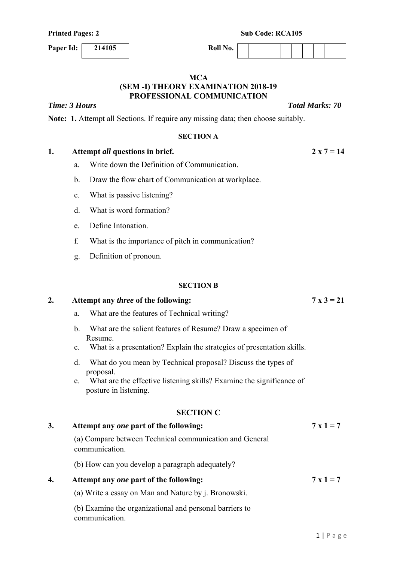**Paper Id:** 214105 Roll No.

#### **MCA (SEM -I) THEORY EXAMINATION 2018-19 PROFESSIONAL COMMUNICATION**

*Time: 3 Hours Total Marks: 70* 

**Note: 1.** Attempt all Sections. If require any missing data; then choose suitably.

#### **SECTION A**

## 1. Attempt *all* questions in brief. 2 x  $7 = 14$

- a. Write down the Definition of Communication.
- b. Draw the flow chart of Communication at workplace.
- c. What is passive listening?
- d. What is word formation?
- e. Define Intonation.
- f. What is the importance of pitch in communication?
- g. Definition of pronoun.

#### **SECTION B**

### **2. Attempt any** *three* **of the following: 7 x 3 = 21**

- a. What are the features of Technical writing?
- b. What are the salient features of Resume? Draw a specimen of Resume.
- c. What is a presentation? Explain the strategies of presentation skills.
- d. What do you mean by Technical proposal? Discuss the types of proposal.
- e. What are the effective listening skills? Examine the significance of posture in listening.

### **SECTION C**

| 3. | Attempt any one part of the following:                                    | $7 \times 1 = 7$ |
|----|---------------------------------------------------------------------------|------------------|
|    | (a) Compare between Technical communication and General<br>communication. |                  |
|    | (b) How can you develop a paragraph adequately?                           |                  |
| 4. | Attempt any one part of the following:                                    | $7 \times 1 = 7$ |
|    | (a) Write a essay on Man and Nature by j. Bronowski.                      |                  |
|    | (b) Examine the organizational and personal barriers to<br>communication. |                  |